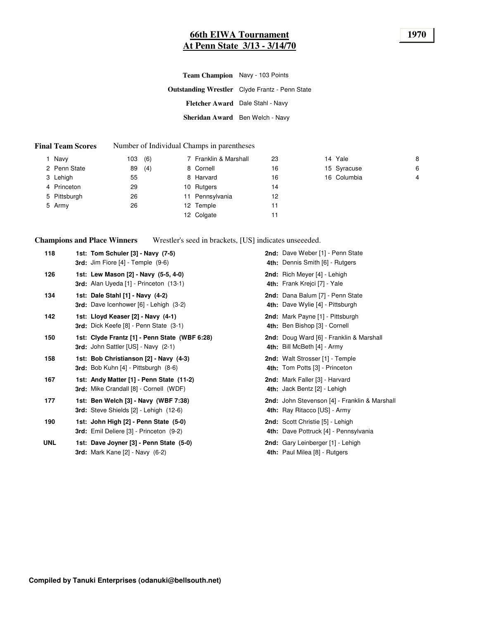### **66th EIWA Tournament 1970 At Penn State 3/13 - 3/14/70**

**Outstanding Wrestler** Clyde Frantz - Penn State **Fletcher Award** Dale Stahl - Navy **Sheridan Award** Ben Welch - Navy **Team Champion** Navy - 103 Points

#### **Final Team Scores** Number of Individual Champs in parentheses

| Navy         | 103 | (6) | 7 Franklin & Marshall | 23 | 14 Yale     | 8 |
|--------------|-----|-----|-----------------------|----|-------------|---|
| 2 Penn State | 89  | (4) | 8 Cornell             | 16 | 15 Syracuse | 6 |
| 3 Lehigh     | 55  |     | 8 Harvard             | 16 | 16 Columbia | 4 |
| 4 Princeton  | 29  |     | 10 Rutgers            | 14 |             |   |
| 5 Pittsburgh | 26  |     | 11 Pennsylvania       | 12 |             |   |
| 5 Army       | 26  |     | 12 Temple             | 11 |             |   |
|              |     |     | 12 Colgate            | 11 |             |   |
|              |     |     |                       |    |             |   |

**Champions and Place Winners**

Wrestler's seed in brackets, [US] indicates unseeeded.

| 118        | 1st: Tom Schuler [3] - Navy (7-5)<br><b>3rd:</b> Jim Fiore $[4]$ - Temple $(9-6)$       | 2nd: Dave Weber [1] - Penn State<br>4th: Dennis Smith [6] - Rutgers           |
|------------|-----------------------------------------------------------------------------------------|-------------------------------------------------------------------------------|
| 126        | 1st: Lew Mason [2] - Navy (5-5, 4-0)<br>3rd: Alan Uyeda [1] - Princeton (13-1)          | 2nd: Rich Meyer [4] - Lehigh<br>4th: Frank Krejci [7] - Yale                  |
| 134        | 1st: Dale Stahl [1] - Navy (4-2)<br>3rd: Dave Icenhower [6] - Lehigh (3-2)              | 2nd: Dana Balum [7] - Penn State<br>4th: Dave Wylie [4] - Pittsburgh          |
| 142        | 1st: Lloyd Keaser [2] - Navy (4-1)<br>3rd: Dick Keefe [8] - Penn State (3-1)            | 2nd: Mark Payne [1] - Pittsburgh<br>4th: Ben Bishop [3] - Cornell             |
| 150        | 1st: Clyde Frantz [1] - Penn State (WBF 6:28)<br>3rd: John Sattler [US] - Navy (2-1)    | 2nd: Doug Ward [6] - Franklin & Marshall<br>4th: Bill McBeth [4] - Army       |
| 158        | 1st: Bob Christianson [2] - Navy (4-3)<br>3rd: Bob Kuhn [4] - Pittsburgh (8-6)          | 2nd: Walt Strosser [1] - Temple<br>4th: Tom Potts [3] - Princeton             |
| 167        | 1st: Andy Matter [1] - Penn State (11-2)<br>3rd: Mike Crandall [8] - Cornell (WDF)      | 2nd: Mark Faller [3] - Harvard<br>4th: Jack Bentz [2] - Lehigh                |
| 177        | 1st: Ben Welch [3] - Navy (WBF 7:38)<br><b>3rd:</b> Steve Shields [2] - Lehigh (12-6)   | 2nd: John Stevenson [4] - Franklin & Marshall<br>4th: Ray Ritacco [US] - Army |
| 190        | 1st: John High [2] - Penn State (5-0)<br><b>3rd:</b> Emil Deliere [3] - Princeton (9-2) | 2nd: Scott Christie [5] - Lehigh<br>4th: Dave Pottruck [4] - Pennsylvania     |
| <b>UNL</b> | 1st: Dave Joyner [3] - Penn State (5-0)<br><b>3rd:</b> Mark Kane [2] - Navy (6-2)       | 2nd: Gary Leinberger [1] - Lehigh<br>4th: Paul Milea [8] - Rutgers            |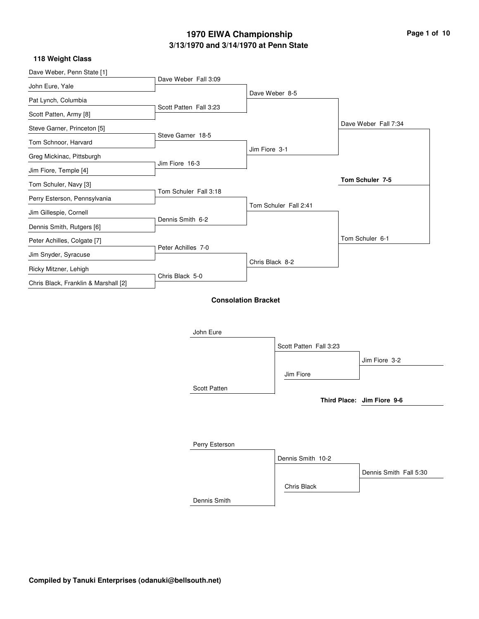### **118 Weight Class**

| Dave Weber, Penn State [1]           | Dave Weber Fall 3:09   |                            |                        |                            |
|--------------------------------------|------------------------|----------------------------|------------------------|----------------------------|
| John Eure, Yale                      |                        | Dave Weber 8-5             |                        |                            |
| Pat Lynch, Columbia                  | Scott Patten Fall 3:23 |                            |                        |                            |
| Scott Patten, Army [8]               |                        |                            |                        |                            |
| Steve Garner, Princeton [5]          |                        |                            |                        | Dave Weber Fall 7:34       |
| Tom Schnoor, Harvard                 | Steve Garner 18-5      |                            |                        |                            |
| Greg Mickinac, Pittsburgh            |                        | Jim Fiore 3-1              |                        |                            |
| Jim Fiore, Temple [4]                | Jim Fiore 16-3         |                            |                        |                            |
| Tom Schuler, Navy [3]                |                        |                            |                        | Tom Schuler 7-5            |
| Perry Esterson, Pennsylvania         | Tom Schuler Fall 3:18  |                            |                        |                            |
| Jim Gillespie, Cornell               |                        | Tom Schuler Fall 2:41      |                        |                            |
| Dennis Smith, Rutgers [6]            | Dennis Smith 6-2       |                            |                        |                            |
| Peter Achilles, Colgate [7]          |                        |                            |                        | Tom Schuler 6-1            |
| Jim Snyder, Syracuse                 | Peter Achilles 7-0     |                            |                        |                            |
| Ricky Mitzner, Lehigh                |                        | Chris Black 8-2            |                        |                            |
| Chris Black, Franklin & Marshall [2] | Chris Black 5-0        |                            |                        |                            |
|                                      |                        | <b>Consolation Bracket</b> |                        |                            |
|                                      | John Eure              |                            |                        |                            |
|                                      |                        |                            | Scott Patten Fall 3:23 |                            |
|                                      |                        |                            |                        | Jim Fiore 3-2              |
|                                      |                        |                            | Jim Fiore              |                            |
|                                      | Scott Patten           |                            |                        |                            |
|                                      |                        |                            |                        | Third Place: Jim Fiore 9-6 |
|                                      |                        |                            |                        |                            |
|                                      |                        |                            |                        |                            |
|                                      | Perry Esterson         |                            |                        |                            |
|                                      |                        |                            | Dennis Smith 10-2      |                            |
|                                      |                        |                            |                        | Dennis Smith Fall 5:30     |

Chris Black

Dennis Smith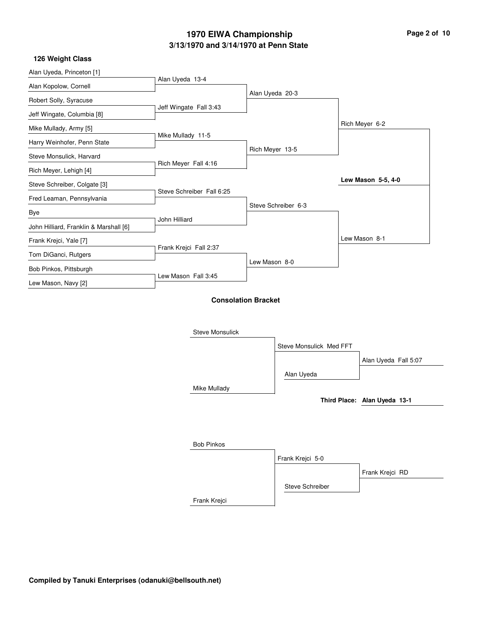| Page 2 of 10 |  |  |
|--------------|--|--|
|              |  |  |

#### **126 Weight Class**

| Alan Uyeda, Princeton [1]              | Alan Uyeda 13-4           |                            |                         |                              |
|----------------------------------------|---------------------------|----------------------------|-------------------------|------------------------------|
| Alan Kopolow, Cornell                  |                           |                            |                         |                              |
| Robert Solly, Syracuse                 |                           | Alan Uyeda 20-3            |                         |                              |
| Jeff Wingate, Columbia [8]             | Jeff Wingate Fall 3:43    |                            |                         |                              |
| Mike Mullady, Army [5]                 |                           |                            |                         | Rich Meyer 6-2               |
| Harry Weinhofer, Penn State            | Mike Mullady 11-5         |                            |                         |                              |
| Steve Monsulick, Harvard               |                           | Rich Meyer 13-5            |                         |                              |
| Rich Meyer, Lehigh [4]                 | Rich Meyer Fall 4:16      |                            |                         |                              |
| Steve Schreiber, Colgate [3]           |                           |                            |                         | Lew Mason 5-5, 4-0           |
| Fred Leaman, Pennsylvania              | Steve Schreiber Fall 6:25 |                            |                         |                              |
| Bye                                    |                           |                            | Steve Schreiber 6-3     |                              |
| John Hilliard, Franklin & Marshall [6] | John Hilliard             |                            |                         |                              |
| Frank Krejci, Yale [7]                 |                           |                            |                         | Lew Mason 8-1                |
| Tom DiGanci, Rutgers                   | Frank Krejci Fall 2:37    |                            |                         |                              |
| Bob Pinkos, Pittsburgh                 |                           | Lew Mason 8-0              |                         |                              |
| Lew Mason, Navy [2]                    | Lew Mason Fall 3:45       |                            |                         |                              |
|                                        |                           | <b>Consolation Bracket</b> |                         |                              |
|                                        | <b>Steve Monsulick</b>    |                            |                         |                              |
|                                        |                           |                            | Steve Monsulick Med FFT |                              |
|                                        |                           |                            |                         | Alan Uyeda Fall 5:07         |
|                                        |                           |                            | Alan Uyeda              |                              |
|                                        | Mike Mullady              |                            |                         |                              |
|                                        |                           |                            |                         | Third Place: Alan Uyeda 13-1 |
|                                        |                           |                            |                         |                              |
|                                        |                           |                            |                         |                              |
|                                        | <b>Bob Pinkos</b>         |                            |                         |                              |
|                                        |                           |                            | Frank Krejci 5-0        |                              |
|                                        |                           |                            |                         | Frank Krejci RD              |

Frank Krejci

Steve Schreiber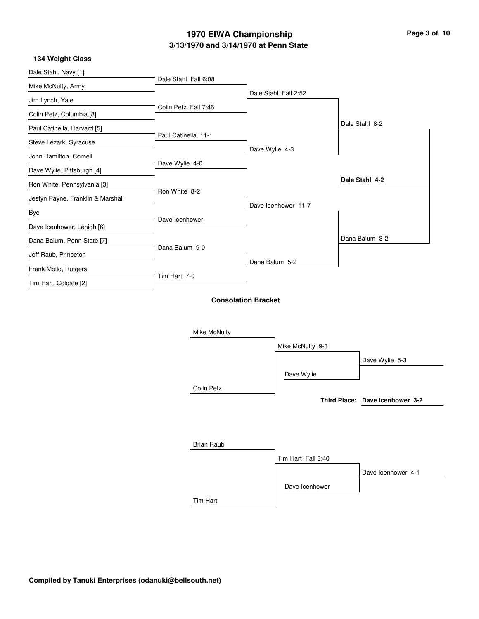| Page 3 of 10 |  |  |
|--------------|--|--|
|              |  |  |

 $\overline{\phantom{0}}$ 

### **134 Weight Class**

| בבוסטוט וועוסזיו דטו              |                      |                            |                      |                                 |
|-----------------------------------|----------------------|----------------------------|----------------------|---------------------------------|
| Dale Stahl, Navy [1]              |                      |                            |                      |                                 |
| Mike McNulty, Army                | Dale Stahl Fall 6:08 |                            |                      |                                 |
| Jim Lynch, Yale                   |                      |                            | Dale Stahl Fall 2:52 |                                 |
| Colin Petz, Columbia [8]          | Colin Petz Fall 7:46 |                            |                      |                                 |
| Paul Catinella, Harvard [5]       |                      |                            |                      | Dale Stahl 8-2                  |
| Steve Lezark, Syracuse            | Paul Catinella 11-1  |                            |                      |                                 |
| John Hamilton, Cornell            |                      | Dave Wylie 4-3             |                      |                                 |
| Dave Wylie, Pittsburgh [4]        | Dave Wylie 4-0       |                            |                      |                                 |
| Ron White, Pennsylvania [3]       |                      |                            |                      | Dale Stahl 4-2                  |
| Jestyn Payne, Franklin & Marshall | Ron White 8-2        |                            |                      |                                 |
| Bye                               |                      |                            | Dave Icenhower 11-7  |                                 |
| Dave Icenhower, Lehigh [6]        | Dave Icenhower       |                            |                      |                                 |
| Dana Balum, Penn State [7]        |                      |                            |                      | Dana Balum 3-2                  |
| Jeff Raub, Princeton              | Dana Balum 9-0       |                            |                      |                                 |
| Frank Mollo, Rutgers              |                      |                            | Dana Balum 5-2       |                                 |
| Tim Hart, Colgate [2]             | Tim Hart 7-0         |                            |                      |                                 |
|                                   |                      | <b>Consolation Bracket</b> |                      |                                 |
|                                   | Mike McNulty         |                            |                      |                                 |
|                                   |                      |                            | Mike McNulty 9-3     |                                 |
|                                   |                      |                            |                      | Dave Wylie 5-3                  |
|                                   |                      |                            | Dave Wylie           |                                 |
|                                   | Colin Petz           |                            |                      |                                 |
|                                   |                      |                            |                      | Third Place: Dave Icenhower 3-2 |
|                                   |                      |                            |                      |                                 |
|                                   |                      |                            |                      |                                 |
|                                   | <b>Brian Raub</b>    |                            |                      |                                 |
|                                   |                      |                            | Tim Hart Fall 3:40   |                                 |
|                                   |                      |                            |                      | Dave Icenhower 4-1              |
|                                   |                      |                            | Dave Icenhower       |                                 |
|                                   | Tim Hart             |                            |                      |                                 |
|                                   |                      |                            |                      |                                 |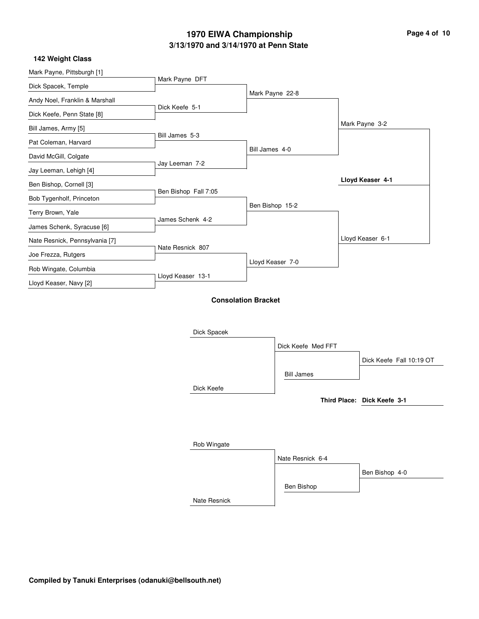| Page 4 of 10 |  |  |
|--------------|--|--|
|              |  |  |

### **142 Weight Class**

| Mark Payne, Pittsburgh [1]     |                      |                            |                    |                             |
|--------------------------------|----------------------|----------------------------|--------------------|-----------------------------|
| Dick Spacek, Temple            | Mark Payne DFT       |                            |                    |                             |
| Andy Noel, Franklin & Marshall |                      |                            | Mark Payne 22-8    |                             |
| Dick Keefe, Penn State [8]     | Dick Keefe 5-1       |                            |                    |                             |
| Bill James, Army [5]           |                      |                            |                    | Mark Payne 3-2              |
| Pat Coleman, Harvard           | Bill James 5-3       |                            |                    |                             |
| David McGill, Colgate          |                      | Bill James 4-0             |                    |                             |
| Jay Leeman, Lehigh [4]         | Jay Leeman 7-2       |                            |                    |                             |
| Ben Bishop, Cornell [3]        |                      |                            |                    | Lloyd Keaser 4-1            |
| Bob Tygenholf, Princeton       | Ben Bishop Fall 7:05 |                            |                    |                             |
| Terry Brown, Yale              |                      |                            | Ben Bishop 15-2    |                             |
|                                | James Schenk 4-2     |                            |                    |                             |
| James Schenk, Syracuse [6]     |                      |                            |                    | Lloyd Keaser 6-1            |
| Nate Resnick, Pennsylvania [7] | Nate Resnick 807     |                            |                    |                             |
| Joe Frezza, Rutgers            |                      |                            | Lloyd Keaser 7-0   |                             |
| Rob Wingate, Columbia          | Lloyd Keaser 13-1    |                            |                    |                             |
| Lloyd Keaser, Navy [2]         |                      |                            |                    |                             |
|                                |                      | <b>Consolation Bracket</b> |                    |                             |
|                                |                      |                            |                    |                             |
|                                | Dick Spacek          |                            |                    |                             |
|                                |                      |                            |                    |                             |
|                                |                      |                            | Dick Keefe Med FFT |                             |
|                                |                      |                            |                    | Dick Keefe Fall 10:19 OT    |
|                                |                      |                            | <b>Bill James</b>  |                             |
|                                | Dick Keefe           |                            |                    |                             |
|                                |                      |                            |                    | Third Place: Dick Keefe 3-1 |
|                                |                      |                            |                    |                             |

| Rob Wingate  |                  |                |
|--------------|------------------|----------------|
|              | Nate Resnick 6-4 |                |
|              |                  | Ben Bishop 4-0 |
|              | Ben Bishop       |                |
| Nate Resnick |                  |                |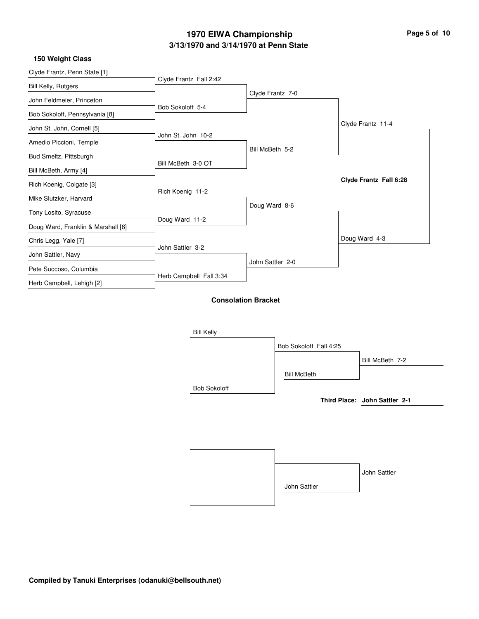### **150 Weight Class**

| Clyde Frantz, Penn State [1]       |                            |                  |                        |                               |
|------------------------------------|----------------------------|------------------|------------------------|-------------------------------|
| <b>Bill Kelly, Rutgers</b>         | Clyde Frantz Fall 2:42     |                  |                        |                               |
| John Feldmeier, Princeton          |                            | Clyde Frantz 7-0 |                        |                               |
| Bob Sokoloff, Pennsylvania [8]     | Bob Sokoloff 5-4           |                  |                        |                               |
| John St. John, Cornell [5]         |                            |                  |                        | Clyde Frantz 11-4             |
|                                    | John St. John 10-2         |                  |                        |                               |
| Amedio Piccioni, Temple            |                            | Bill McBeth 5-2  |                        |                               |
| Bud Smeltz, Pittsburgh             |                            |                  |                        |                               |
| Bill McBeth, Army [4]              | Bill McBeth 3-0 OT         |                  |                        |                               |
| Rich Koenig, Colgate [3]           |                            |                  |                        | Clyde Frantz Fall 6:28        |
| Mike Slutzker, Harvard             | Rich Koenig 11-2           |                  |                        |                               |
|                                    |                            | Doug Ward 8-6    |                        |                               |
| Tony Losito, Syracuse              | Doug Ward 11-2             |                  |                        |                               |
| Doug Ward, Franklin & Marshall [6] |                            |                  |                        |                               |
| Chris Legg, Yale [7]               |                            |                  |                        | Doug Ward 4-3                 |
| John Sattler, Navy                 | John Sattler 3-2           |                  |                        |                               |
| Pete Succoso, Columbia             |                            | John Sattler 2-0 |                        |                               |
|                                    | Herb Campbell Fall 3:34    |                  |                        |                               |
| Herb Campbell, Lehigh [2]          |                            |                  |                        |                               |
|                                    | <b>Consolation Bracket</b> |                  |                        |                               |
|                                    |                            |                  |                        |                               |
|                                    |                            |                  |                        |                               |
|                                    | <b>Bill Kelly</b>          |                  |                        |                               |
|                                    |                            |                  | Bob Sokoloff Fall 4:25 |                               |
|                                    |                            |                  |                        | Bill McBeth 7-2               |
|                                    |                            |                  | <b>Bill McBeth</b>     |                               |
|                                    | <b>Bob Sokoloff</b>        |                  |                        |                               |
|                                    |                            |                  |                        | Third Place: John Sattler 2-1 |

|              | John Sattler |
|--------------|--------------|
| John Sattler |              |
|              |              |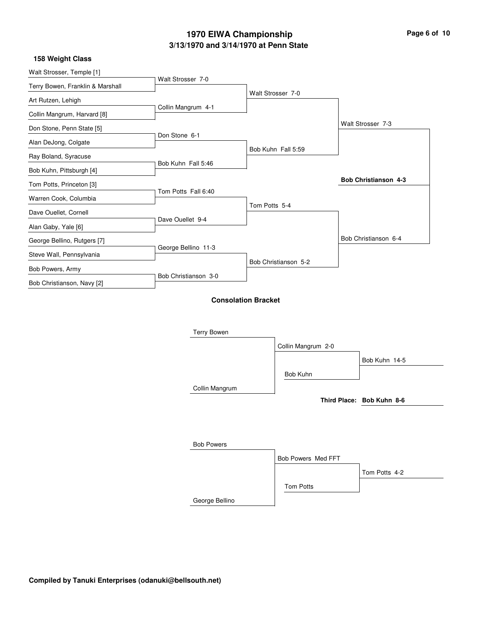| Page 6 of 10 |  |  |
|--------------|--|--|
|              |  |  |

#### **158 Weight Class**

| Walt Strosser, Temple [1]        | Walt Strosser 7-0    |                            |                    |                           |
|----------------------------------|----------------------|----------------------------|--------------------|---------------------------|
| Terry Bowen, Franklin & Marshall |                      |                            |                    |                           |
| Art Rutzen, Lehigh               |                      | Walt Strosser 7-0          |                    |                           |
| Collin Mangrum, Harvard [8]      | Collin Mangrum 4-1   |                            |                    |                           |
| Don Stone, Penn State [5]        |                      |                            |                    | Walt Strosser 7-3         |
| Alan DeJong, Colgate             | Don Stone 6-1        |                            |                    |                           |
| Ray Boland, Syracuse             |                      | Bob Kuhn Fall 5:59         |                    |                           |
| Bob Kuhn, Pittsburgh [4]         | Bob Kuhn Fall 5:46   |                            |                    |                           |
| Tom Potts, Princeton [3]         |                      |                            |                    | Bob Christianson 4-3      |
| Warren Cook, Columbia            | Tom Potts Fall 6:40  |                            |                    |                           |
| Dave Ouellet, Cornell            |                      | Tom Potts 5-4              |                    |                           |
| Alan Gaby, Yale [6]              | Dave Ouellet 9-4     |                            |                    |                           |
| George Bellino, Rutgers [7]      |                      |                            |                    | Bob Christianson 6-4      |
| Steve Wall, Pennsylvania         | George Bellino 11-3  |                            |                    |                           |
|                                  |                      | Bob Christianson 5-2       |                    |                           |
| Bob Powers, Army                 | Bob Christianson 3-0 |                            |                    |                           |
| Bob Christianson, Navy [2]       |                      |                            |                    |                           |
|                                  |                      | <b>Consolation Bracket</b> |                    |                           |
|                                  |                      |                            |                    |                           |
|                                  | <b>Terry Bowen</b>   |                            |                    |                           |
|                                  |                      | Collin Mangrum 2-0         |                    |                           |
|                                  |                      |                            |                    | Bob Kuhn 14-5             |
|                                  |                      | Bob Kuhn                   |                    |                           |
|                                  | Collin Mangrum       |                            |                    |                           |
|                                  |                      |                            |                    | Third Place: Bob Kuhn 8-6 |
|                                  |                      |                            |                    |                           |
|                                  |                      |                            |                    |                           |
|                                  | <b>Bob Powers</b>    |                            |                    |                           |
|                                  |                      |                            | Bob Powers Med FFT |                           |
|                                  |                      |                            |                    |                           |
|                                  |                      |                            |                    | Tom Potts 4-2             |
|                                  |                      | Tom Potts                  |                    |                           |

George Bellino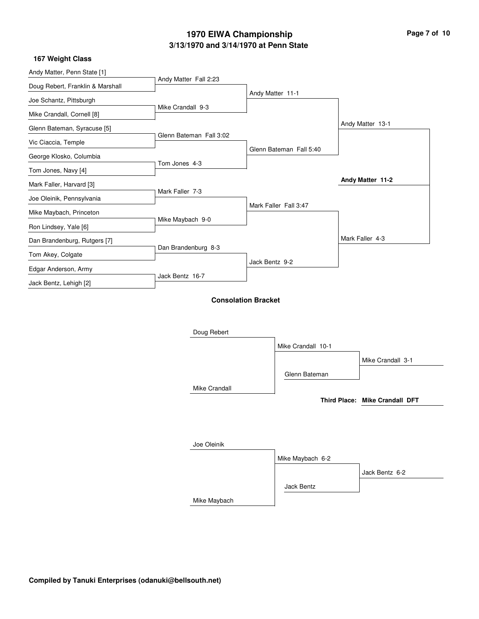#### **167 Weight Class**

| Andy Matter, Penn State [1]      | Andy Matter Fall 2:23   |                            |                         |                                |
|----------------------------------|-------------------------|----------------------------|-------------------------|--------------------------------|
| Doug Rebert, Franklin & Marshall |                         |                            |                         |                                |
| Joe Schantz, Pittsburgh          |                         | Andy Matter 11-1           |                         |                                |
| Mike Crandall, Cornell [8]       | Mike Crandall 9-3       |                            |                         |                                |
| Glenn Bateman, Syracuse [5]      |                         |                            |                         | Andy Matter 13-1               |
| Vic Ciaccia, Temple              | Glenn Bateman Fall 3:02 |                            |                         |                                |
| George Klosko, Columbia          |                         |                            | Glenn Bateman Fall 5:40 |                                |
| Tom Jones, Navy [4]              | Tom Jones 4-3           |                            |                         |                                |
| Mark Faller, Harvard [3]         |                         |                            |                         | Andy Matter 11-2               |
| Joe Oleinik, Pennsylvania        | Mark Faller 7-3         |                            |                         |                                |
| Mike Maybach, Princeton          |                         |                            | Mark Faller Fall 3:47   |                                |
| Ron Lindsey, Yale [6]            | Mike Maybach 9-0        |                            |                         |                                |
| Dan Brandenburg, Rutgers [7]     |                         |                            |                         | Mark Faller 4-3                |
| Tom Akey, Colgate                | Dan Brandenburg 8-3     |                            |                         |                                |
| Edgar Anderson, Army             |                         | Jack Bentz 9-2             |                         |                                |
|                                  | Jack Bentz 16-7         |                            |                         |                                |
| Jack Bentz, Lehigh [2]           |                         |                            |                         |                                |
|                                  |                         | <b>Consolation Bracket</b> |                         |                                |
|                                  |                         |                            |                         |                                |
|                                  | Doug Rebert             |                            |                         |                                |
|                                  |                         |                            | Mike Crandall 10-1      |                                |
|                                  |                         |                            |                         | Mike Crandall 3-1              |
|                                  |                         |                            | Glenn Bateman           |                                |
|                                  | Mike Crandall           |                            |                         |                                |
|                                  |                         |                            |                         | Third Place: Mike Crandall DFT |
|                                  |                         |                            |                         |                                |
|                                  |                         |                            |                         |                                |
|                                  | Joe Oleinik             |                            |                         |                                |
|                                  |                         |                            |                         |                                |
|                                  |                         |                            | Mike Maybach 6-2        |                                |
|                                  |                         |                            |                         | Jack Bentz 6-2                 |

Mike Maybach

Jack Bentz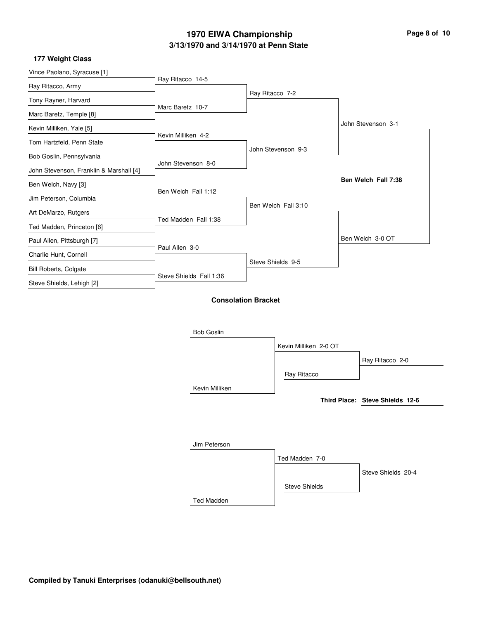| Page 8 of 10 |  |  |
|--------------|--|--|
|              |  |  |

i.

### **177 Weight Class**

| 177 WEIGHT OIDSS                        |                         |                            |                       |                                 |
|-----------------------------------------|-------------------------|----------------------------|-----------------------|---------------------------------|
| Vince Paolano, Syracuse [1]             |                         |                            |                       |                                 |
| Ray Ritacco, Army                       | Ray Ritacco 14-5        |                            |                       |                                 |
| Tony Rayner, Harvard                    |                         | Ray Ritacco 7-2            |                       |                                 |
| Marc Baretz, Temple [8]                 | Marc Baretz 10-7        |                            |                       |                                 |
| Kevin Milliken, Yale [5]                |                         |                            |                       | John Stevenson 3-1              |
| Tom Hartzfeld, Penn State               | Kevin Milliken 4-2      |                            |                       |                                 |
| Bob Goslin, Pennsylvania                |                         |                            | John Stevenson 9-3    |                                 |
| John Stevenson, Franklin & Marshall [4] | John Stevenson 8-0      |                            |                       |                                 |
| Ben Welch, Navy [3]                     |                         |                            |                       | Ben Welch Fall 7:38             |
| Jim Peterson, Columbia                  | Ben Welch Fall 1:12     |                            |                       |                                 |
|                                         |                         |                            | Ben Welch Fall 3:10   |                                 |
| Art DeMarzo, Rutgers                    | Ted Madden Fall 1:38    |                            |                       |                                 |
| Ted Madden, Princeton [6]               |                         |                            |                       | Ben Welch 3-0 OT                |
| Paul Allen, Pittsburgh [7]              | Paul Allen 3-0          |                            |                       |                                 |
| Charlie Hunt, Cornell                   |                         |                            | Steve Shields 9-5     |                                 |
| <b>Bill Roberts, Colgate</b>            | Steve Shields Fall 1:36 |                            |                       |                                 |
| Steve Shields, Lehigh [2]               |                         |                            |                       |                                 |
|                                         |                         | <b>Consolation Bracket</b> |                       |                                 |
|                                         |                         |                            |                       |                                 |
|                                         |                         |                            |                       |                                 |
|                                         | <b>Bob Goslin</b>       |                            |                       |                                 |
|                                         |                         |                            | Kevin Milliken 2-0 OT |                                 |
|                                         |                         |                            |                       | Ray Ritacco 2-0                 |
|                                         |                         |                            | Ray Ritacco           |                                 |
|                                         | Kevin Milliken          |                            |                       |                                 |
|                                         |                         |                            |                       | Third Place: Steve Shields 12-6 |
|                                         |                         |                            |                       |                                 |
|                                         |                         |                            |                       |                                 |
|                                         | Jim Peterson            |                            |                       |                                 |
|                                         |                         |                            | Ted Madden 7-0        |                                 |
|                                         |                         |                            |                       | Steve Shields 20-4              |
|                                         |                         |                            | <b>Steve Shields</b>  |                                 |
|                                         |                         |                            |                       |                                 |
|                                         | <b>Ted Madden</b>       |                            |                       |                                 |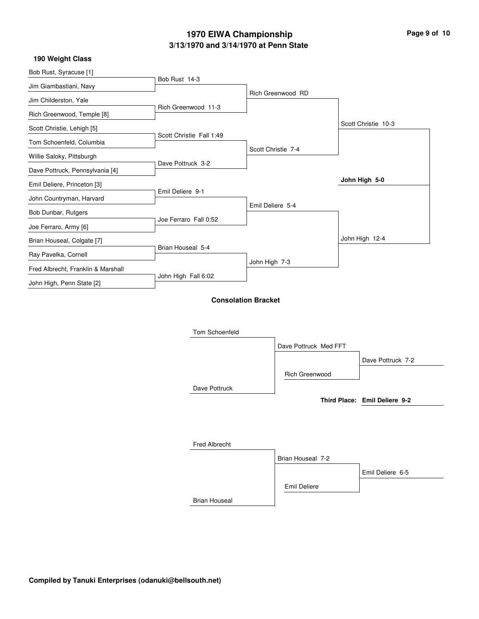|  |  | Page 9 of 10 |  |
|--|--|--------------|--|
|  |  |              |  |

#### **190 Weight Class**

| Bob Rust, Syracuse [1]             |                          |                            |                       |                               |
|------------------------------------|--------------------------|----------------------------|-----------------------|-------------------------------|
| Jim Giambastiani, Navy             | Bob Rust 14-3            |                            |                       |                               |
| Jim Childerston, Yale              |                          |                            | Rich Greenwood RD     |                               |
| Rich Greenwood, Temple [8]         | Rich Greenwood 11-3      |                            |                       |                               |
| Scott Christie, Lehigh [5]         |                          |                            |                       | Scott Christie 10-3           |
| Tom Schoenfeld, Columbia           | Scott Christie Fall 1:49 |                            |                       |                               |
|                                    |                          |                            | Scott Christie 7-4    |                               |
| Willie Saloky, Pittsburgh          | Dave Pottruck 3-2        |                            |                       |                               |
| Dave Pottruck, Pennsylvania [4]    |                          |                            |                       | John High 5-0                 |
| Emil Deliere, Princeton [3]        | Emil Deliere 9-1         |                            |                       |                               |
| John Countryman, Harvard           |                          | Emil Deliere 5-4           |                       |                               |
| Bob Dunbar, Rutgers                | Joe Ferraro Fall 0:52    |                            |                       |                               |
| Joe Ferraro, Army [6]              |                          |                            |                       |                               |
| Brian Houseal, Colgate [7]         |                          |                            |                       | John High 12-4                |
| Ray Pavelka, Cornell               | Brian Houseal 5-4        |                            |                       |                               |
| Fred Albrecht, Franklin & Marshall |                          | John High 7-3              |                       |                               |
| John High, Penn State [2]          | John High Fall 6:02      |                            |                       |                               |
|                                    |                          |                            |                       |                               |
|                                    |                          | <b>Consolation Bracket</b> |                       |                               |
|                                    |                          |                            |                       |                               |
|                                    | Tom Schoenfeld           |                            |                       |                               |
|                                    |                          |                            | Dave Pottruck Med FFT |                               |
|                                    |                          |                            |                       | Dave Pottruck 7-2             |
|                                    |                          |                            | Rich Greenwood        |                               |
|                                    | Dave Pottruck            |                            |                       |                               |
|                                    |                          |                            |                       | Third Place: Emil Deliere 9-2 |
|                                    |                          |                            |                       |                               |
|                                    |                          |                            |                       |                               |
|                                    |                          |                            |                       |                               |
|                                    | <b>Fred Albrecht</b>     |                            |                       |                               |

|                      | Brian Houseal 7-2 |                  |
|----------------------|-------------------|------------------|
|                      |                   | Emil Deliere 6-5 |
|                      | Emil Deliere      |                  |
| <b>Brian Houseal</b> |                   |                  |